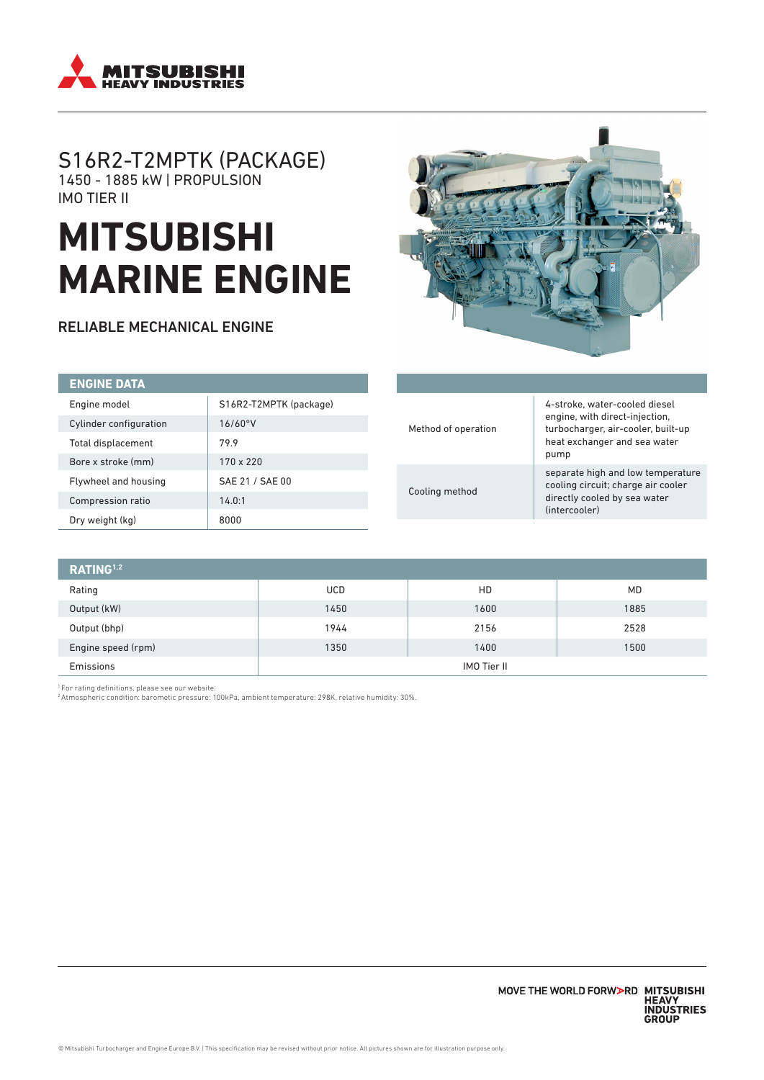

# S16R2-T2MPTK (PACKAGE) 1450 - 1885 kW | PROPULSION IMO TIER II

# **MITSUBISHI MARINE ENGINE**

RELIABLE MECHANICAL ENGINE



| <b>ENGINE DATA</b>     |                        |
|------------------------|------------------------|
| Engine model           | S16R2-T2MPTK (package) |
| Cylinder configuration | 16/60°V                |
| Total displacement     | 79.9                   |
| Bore x stroke (mm)     | $170 \times 220$       |
| Flywheel and housing   | SAE 21 / SAE 00        |
| Compression ratio      | 14.0:1                 |
| Dry weight (kg)        | 8000                   |

| Method of operation | 4-stroke, water-cooled diesel<br>engine, with direct-injection,<br>turbocharger, air-cooler, built-up<br>heat exchanger and sea water<br>pump |
|---------------------|-----------------------------------------------------------------------------------------------------------------------------------------------|
| Cooling method      | separate high and low temperature<br>cooling circuit; charge air cooler<br>directly cooled by sea water<br>(intercooler)                      |

| RATING <sup>1,2</sup> |                    |      |           |
|-----------------------|--------------------|------|-----------|
| Rating                | <b>UCD</b>         | HD   | <b>MD</b> |
| Output (kW)           | 1450               | 1600 | 1885      |
| Output (bhp)          | 1944               | 2156 | 2528      |
| Engine speed (rpm)    | 1350               | 1400 | 1500      |
| Emissions             | <b>IMO Tier II</b> |      |           |

1 For rating definitions, please see our website.

2 Atmospheric condition: barometic pressure: 100kPa, ambient temperature: 298K, relative humidity: 30%.